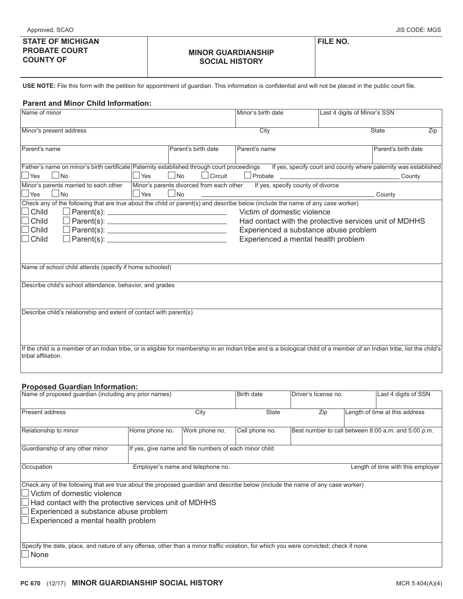## **MINOR GUARDIANSHIP SOCIAL HISTORY**

**FILE NO.**

**USE NOTE:** File this form with the petition for appointment of guardian. This information is confidential and will not be placed in the public court file.

## **Parent and Minor Child Information:**

| Name of minor                                                                                                                                                                                   |                                                                              | Minor's birth date                | Last 4 digits of Minor's SSN |                     |     |  |  |  |
|-------------------------------------------------------------------------------------------------------------------------------------------------------------------------------------------------|------------------------------------------------------------------------------|-----------------------------------|------------------------------|---------------------|-----|--|--|--|
| Minor's present address                                                                                                                                                                         |                                                                              | City                              | <b>State</b>                 |                     | Zip |  |  |  |
| Parent's name                                                                                                                                                                                   | Parent's birth date                                                          | Parent's name                     |                              | Parent's birth date |     |  |  |  |
|                                                                                                                                                                                                 |                                                                              |                                   |                              |                     |     |  |  |  |
| Father's name on minor's birth certificate Paternity established through court proceedings If yes, specify court and county where paternity was established                                     |                                                                              |                                   |                              |                     |     |  |  |  |
| $\Box$ Yes<br>$\vert$ No<br>Yes                                                                                                                                                                 | $\Box$ No<br>$\Box$ Circuit                                                  |                                   |                              |                     |     |  |  |  |
| Minor's parents married to each other                                                                                                                                                           | Minor's parents divorced from each other                                     | If yes, specify county of divorce |                              |                     |     |  |  |  |
| N <sub>0</sub><br>$\Box$ Yes<br>Yes                                                                                                                                                             | $\Box$ No                                                                    |                                   |                              | County              |     |  |  |  |
| Check any of the following that are true about the child or parent(s) and describe below (include the name of any case worker)                                                                  |                                                                              |                                   |                              |                     |     |  |  |  |
| Child                                                                                                                                                                                           | Victim of domestic violence                                                  |                                   |                              |                     |     |  |  |  |
| Child<br>Child                                                                                                                                                                                  | Had contact with the protective services unit of MDHHS                       |                                   |                              |                     |     |  |  |  |
| Child<br>$\Box$ Parent(s): $\Box$                                                                                                                                                               | Experienced a substance abuse problem<br>Experienced a mental health problem |                                   |                              |                     |     |  |  |  |
|                                                                                                                                                                                                 |                                                                              |                                   |                              |                     |     |  |  |  |
|                                                                                                                                                                                                 |                                                                              |                                   |                              |                     |     |  |  |  |
| Name of school child attends (specify if home schooled)                                                                                                                                         |                                                                              |                                   |                              |                     |     |  |  |  |
| Describe child's school attendance, behavior, and grades                                                                                                                                        |                                                                              |                                   |                              |                     |     |  |  |  |
|                                                                                                                                                                                                 |                                                                              |                                   |                              |                     |     |  |  |  |
|                                                                                                                                                                                                 |                                                                              |                                   |                              |                     |     |  |  |  |
| Describe child's relationship and extent of contact with parent(s)                                                                                                                              |                                                                              |                                   |                              |                     |     |  |  |  |
|                                                                                                                                                                                                 |                                                                              |                                   |                              |                     |     |  |  |  |
|                                                                                                                                                                                                 |                                                                              |                                   |                              |                     |     |  |  |  |
|                                                                                                                                                                                                 |                                                                              |                                   |                              |                     |     |  |  |  |
| If the child is a member of an Indian tribe, or is eligible for membership in an Indian tribe and is a biological child of a member of an Indian tribe, list the child's<br>tribal affiliation. |                                                                              |                                   |                              |                     |     |  |  |  |

## **Proposed Guardian Information:**

| Proposed Guardian Information.                                                                                                                               |                                                        |                                   |                   |                      |  |                                                     |  |  |
|--------------------------------------------------------------------------------------------------------------------------------------------------------------|--------------------------------------------------------|-----------------------------------|-------------------|----------------------|--|-----------------------------------------------------|--|--|
| Name of proposed quardian (including any prior names)                                                                                                        |                                                        |                                   | <b>Birth date</b> | Driver's license no. |  | Last 4 digits of SSN                                |  |  |
| <b>Present address</b>                                                                                                                                       |                                                        | City                              | <b>State</b>      | Zip                  |  | Length of time at this address                      |  |  |
| Relationship to minor                                                                                                                                        | Home phone no.                                         | Work phone no.                    | Cell phone no.    |                      |  | Best number to call between 8:00 a.m. and 5:00 p.m. |  |  |
| Guardianship of any other minor                                                                                                                              | If yes, give name and file numbers of each minor child |                                   |                   |                      |  |                                                     |  |  |
| Occupation                                                                                                                                                   |                                                        | Employer's name and telephone no. |                   |                      |  | Length of time with this employer                   |  |  |
| Check any of the following that are true about the proposed guardian and describe below (include the name of any case worker)<br>Victim of domestic violence |                                                        |                                   |                   |                      |  |                                                     |  |  |
| Had contact with the protective services unit of MDHHS                                                                                                       |                                                        |                                   |                   |                      |  |                                                     |  |  |
| Experienced a substance abuse problem                                                                                                                        |                                                        |                                   |                   |                      |  |                                                     |  |  |
| Experienced a mental health problem                                                                                                                          |                                                        |                                   |                   |                      |  |                                                     |  |  |
|                                                                                                                                                              |                                                        |                                   |                   |                      |  |                                                     |  |  |
| Specify the date, place, and nature of any offense, other than a minor traffic violation, for which you were convicted; check if none<br>None                |                                                        |                                   |                   |                      |  |                                                     |  |  |